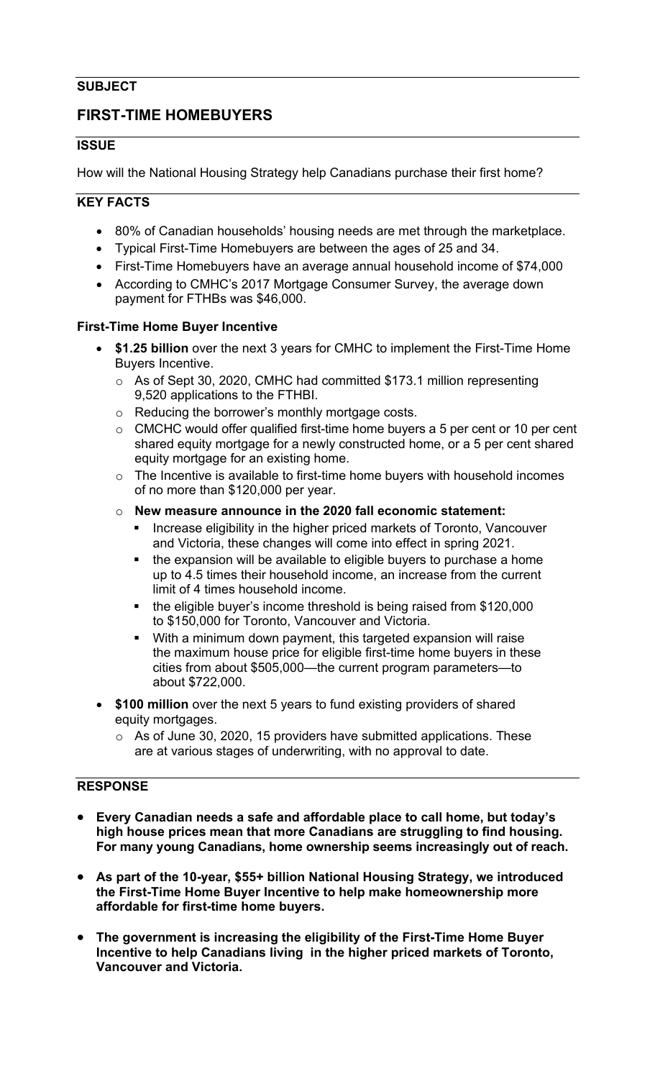## **SUBJECT**

# **FIRST-TIME HOMEBUYERS**

### **ISSUE**

How will the National Housing Strategy help Canadians purchase their first home?

### **KEY FACTS**

- 80% of Canadian households' housing needs are met through the marketplace.
- Typical First-Time Homebuyers are between the ages of 25 and 34.
- First-Time Homebuyers have an average annual household income of \$74,000
- According to CMHC's 2017 Mortgage Consumer Survey, the average down payment for FTHBs was \$46,000.

#### **First-Time Home Buyer Incentive**

- **\$1.25 billion** over the next 3 years for CMHC to implement the First-Time Home Buyers Incentive.
	- o As of Sept 30, 2020, CMHC had committed \$173.1 million representing 9,520 applications to the FTHBI.
	- o Reducing the borrower's monthly mortgage costs.
	- o CMCHC would offer qualified first-time home buyers a 5 per cent or 10 per cent shared equity mortgage for a newly constructed home, or a 5 per cent shared equity mortgage for an existing home.
	- $\circ$  The Incentive is available to first-time home buyers with household incomes of no more than \$120,000 per year.
	- o **New measure announce in the 2020 fall economic statement:**
		- **Increase eligibility in the higher priced markets of Toronto, Vancouver** and Victoria, these changes will come into effect in spring 2021.
		- the expansion will be available to eligible buyers to purchase a home up to 4.5 times their household income, an increase from the current limit of 4 times household income.
		- the eligible buyer's income threshold is being raised from \$120,000 to \$150,000 for Toronto, Vancouver and Victoria.
		- With a minimum down payment, this targeted expansion will raise the maximum house price for eligible first-time home buyers in these cities from about \$505,000—the current program parameters—to about \$722,000.
- **\$100 million** over the next 5 years to fund existing providers of shared equity mortgages.
	- $\circ$  As of June 30, 2020, 15 providers have submitted applications. These are at various stages of underwriting, with no approval to date.

# **RESPONSE**

- **Every Canadian needs a safe and affordable place to call home, but today's high house prices mean that more Canadians are struggling to find housing. For many young Canadians, home ownership seems increasingly out of reach.**
- **As part of the 10-year, \$55+ billion National Housing Strategy, we introduced the First-Time Home Buyer Incentive to help make homeownership more affordable for first-time home buyers.**
- **The government is increasing the eligibility of the First-Time Home Buyer Incentive to help Canadians living in the higher priced markets of Toronto, Vancouver and Victoria.**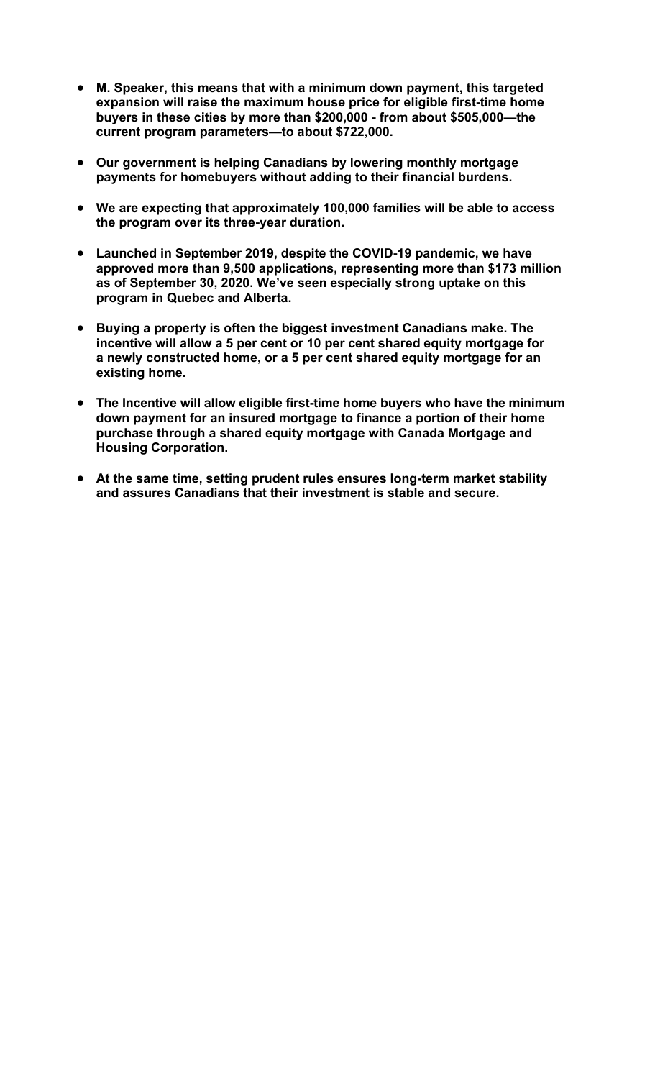- **M. Speaker, this means that with a minimum down payment, this targeted expansion will raise the maximum house price for eligible first-time home buyers in these cities by more than \$200,000 - from about \$505,000—the current program parameters—to about \$722,000.**
- **Our government is helping Canadians by lowering monthly mortgage payments for homebuyers without adding to their financial burdens.**
- **We are expecting that approximately 100,000 families will be able to access the program over its three-year duration.**
- **Launched in September 2019, despite the COVID-19 pandemic, we have approved more than 9,500 applications, representing more than \$173 million as of September 30, 2020. We've seen especially strong uptake on this program in Quebec and Alberta.**
- **Buying a property is often the biggest investment Canadians make. The incentive will allow a 5 per cent or 10 per cent shared equity mortgage for a newly constructed home, or a 5 per cent shared equity mortgage for an existing home.**
- **The Incentive will allow eligible first-time home buyers who have the minimum down payment for an insured mortgage to finance a portion of their home purchase through a shared equity mortgage with Canada Mortgage and Housing Corporation.**
- **At the same time, setting prudent rules ensures long-term market stability and assures Canadians that their investment is stable and secure.**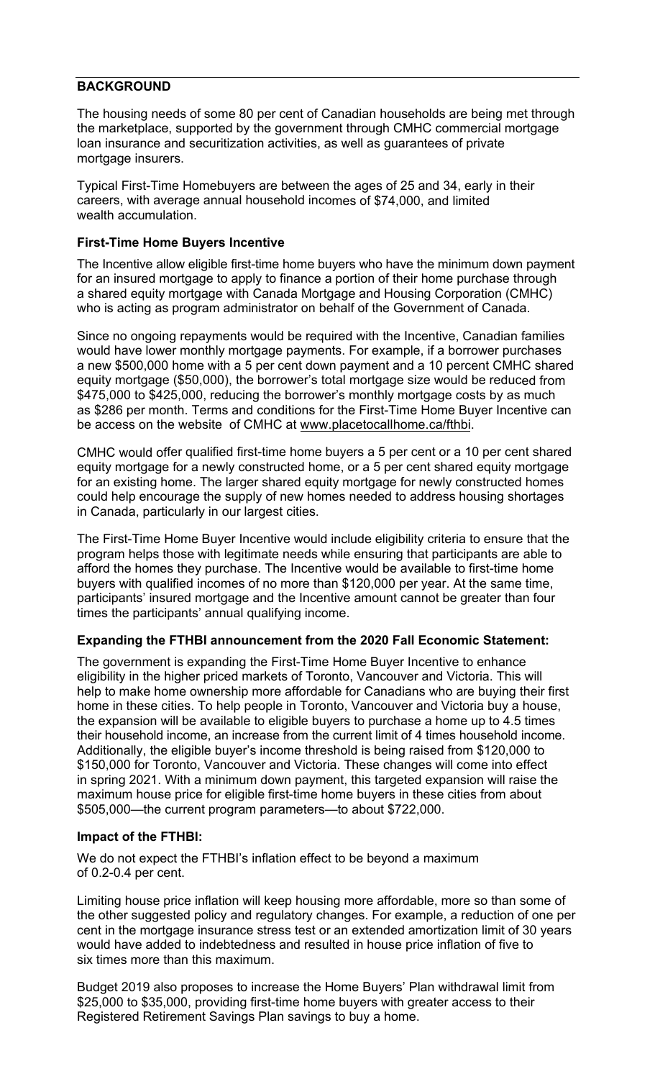### **BACKGROUND**

The housing needs of some 80 per cent of Canadian households are being met through the marketplace, supported by the government through CMHC commercial mortgage loan insurance and securitization activities, as well as guarantees of private mortgage insurers.

Typical First-Time Homebuyers are between the ages of 25 and 34, early in their careers, with average annual household incomes of \$74,000, and limited wealth accumulation.

#### **First-Time Home Buyers Incentive**

The Incentive allow eligible first-time home buyers who have the minimum down payment for an insured mortgage to apply to finance a portion of their home purchase through a shared equity mortgage with Canada Mortgage and Housing Corporation (CMHC) who is acting as program administrator on behalf of the Government of Canada.

Since no ongoing repayments would be required with the Incentive, Canadian families would have lower monthly mortgage payments. For example, if a borrower purchases a new \$500,000 home with a 5 per cent down payment and a 10 percent CMHC shared equity mortgage (\$50,000), the borrower's total mortgage size would be reduced from \$475,000 to \$425,000, reducing the borrower's monthly mortgage costs by as much as \$286 per month. Terms and conditions for the First-Time Home Buyer Incentive can be access on the website of CMHC a[t www.placetocallhome.ca/fthbi](https://www.placetocallhome.ca/fthbi/first-time-homebuyer-incentive?utm_source=vanity&utm_medium=redirect&utm_campaign=fthbi).

CMHC would offer qualified first-time home buyers a 5 per cent or a 10 per cent shared equity mortgage for a newly constructed home, or a 5 per cent shared equity mortgage for an existing home. The larger shared equity mortgage for newly constructed homes could help encourage the supply of new homes needed to address housing shortages in Canada, particularly in our largest cities.

The First-Time Home Buyer Incentive would include eligibility criteria to ensure that the program helps those with legitimate needs while ensuring that participants are able to afford the homes they purchase. The Incentive would be available to first-time home buyers with qualified incomes of no more than \$120,000 per year. At the same time, participants' insured mortgage and the Incentive amount cannot be greater than four times the participants' annual qualifying income.

#### **Expanding the FTHBI announcement from the 2020 Fall Economic Statement:**

The government is expanding the First-Time Home Buyer Incentive to enhance eligibility in the higher priced markets of Toronto, Vancouver and Victoria. This will help to make home ownership more affordable for Canadians who are buying their first home in these cities. To help people in Toronto, Vancouver and Victoria buy a house, the expansion will be available to eligible buyers to purchase a home up to 4.5 times their household income, an increase from the current limit of 4 times household income. Additionally, the eligible buyer's income threshold is being raised from \$120,000 to \$150,000 for Toronto, Vancouver and Victoria. These changes will come into effect in spring 2021. With a minimum down payment, this targeted expansion will raise the maximum house price for eligible first-time home buyers in these cities from about \$505,000—the current program parameters—to about \$722,000.

#### **Impact of the FTHBI:**

We do not expect the FTHBI's inflation effect to be beyond a maximum of 0.2-0.4 per cent.

Limiting house price inflation will keep housing more affordable, more so than some of the other suggested policy and regulatory changes. For example, a reduction of one per cent in the mortgage insurance stress test or an extended amortization limit of 30 years would have added to indebtedness and resulted in house price inflation of five to six times more than this maximum.

Budget 2019 also proposes to increase the Home Buyers' Plan withdrawal limit from \$25,000 to \$35,000, providing first-time home buyers with greater access to their Registered Retirement Savings Plan savings to buy a home.